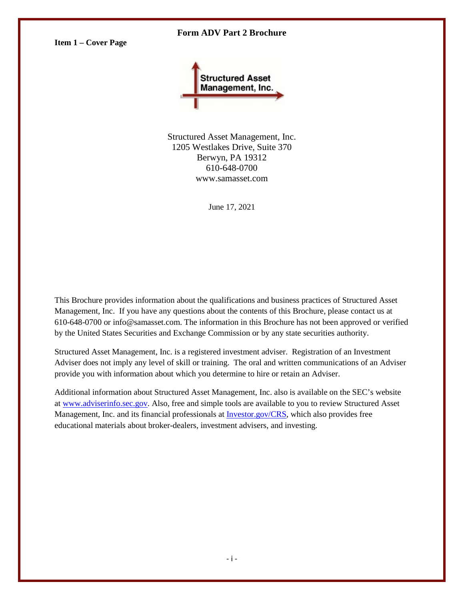## **Form ADV Part 2 Brochure**

<span id="page-0-0"></span>**Item 1 – Cover Page**



Structured Asset Management, Inc. 1205 Westlakes Drive, Suite 370 Berwyn, PA 19312 610-648-0700 www.samasset.com

June 17, 2021

This Brochure provides information about the qualifications and business practices of Structured Asset Management, Inc. If you have any questions about the contents of this Brochure, please contact us at 610-648-0700 or info@samasset.com. The information in this Brochure has not been approved or verified by the United States Securities and Exchange Commission or by any state securities authority.

Structured Asset Management, Inc. is a registered investment adviser. Registration of an Investment Adviser does not imply any level of skill or training. The oral and written communications of an Adviser provide you with information about which you determine to hire or retain an Adviser.

Additional information about Structured Asset Management, Inc. also is available on the SEC's website at [www.adviserinfo.sec.gov.](http://www.adviserinfo.sec.gov/) Also, free and simple tools are available to you to review Structured Asset Management, Inc. and its financial professionals at **Investor.gov/CRS**, which also provides free educational materials about broker-dealers, investment advisers, and investing.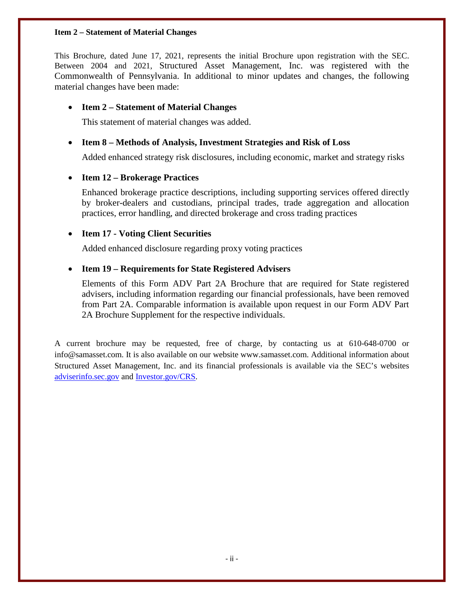## <span id="page-1-0"></span>**Item 2 – Statement of Material Changes**

This Brochure, dated June 17, 2021, represents the initial Brochure upon registration with the SEC. Between 2004 and 2021, Structured Asset Management, Inc. was registered with the Commonwealth of Pennsylvania. In additional to minor updates and changes, the following material changes have been made:

# • **Item 2 – Statement of Material Changes**

This statement of material changes was added.

# • **Item 8 – Methods of Analysis, Investment Strategies and Risk of Loss**

Added enhanced strategy risk disclosures, including economic, market and strategy risks

# • **Item 12 – Brokerage Practices**

Enhanced brokerage practice descriptions, including supporting services offered directly by broker-dealers and custodians, principal trades, trade aggregation and allocation practices, error handling, and directed brokerage and cross trading practices

# • **Item 17 - Voting Client Securities**

Added enhanced disclosure regarding proxy voting practices

# • **Item 19 – Requirements for State Registered Advisers**

Elements of this Form ADV Part 2A Brochure that are required for State registered advisers, including information regarding our financial professionals, have been removed from Part 2A. Comparable information is available upon request in our Form ADV Part 2A Brochure Supplement for the respective individuals.

A current brochure may be requested, free of charge, by contacting us at 610-648-0700 or info@samasset.com. It is also available on our website www.samasset.com. Additional information about Structured Asset Management, Inc. and its financial professionals is available via the SEC's websites [adviserinfo.sec.gov](https://adviserinfo.sec.gov/) and [Investor.gov/CRS.](https://www.investor.gov/home/welcome-investor-gov-crs)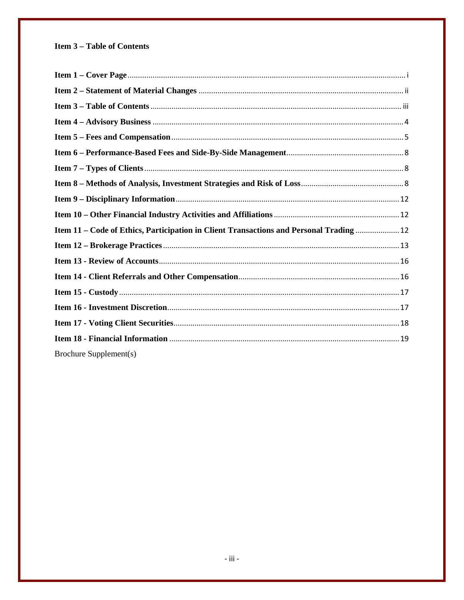# <span id="page-2-0"></span>**Item 3 - Table of Contents**

| Item 11 - Code of Ethics, Participation in Client Transactions and Personal Trading  12 |  |
|-----------------------------------------------------------------------------------------|--|
|                                                                                         |  |
|                                                                                         |  |
|                                                                                         |  |
|                                                                                         |  |
|                                                                                         |  |
|                                                                                         |  |
|                                                                                         |  |
| Brochure Supplement(s)                                                                  |  |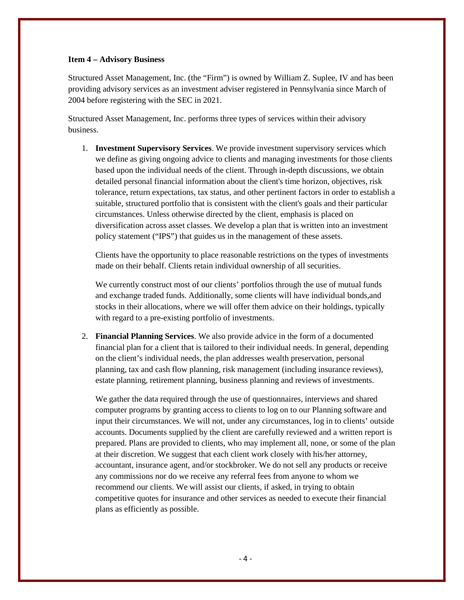#### <span id="page-3-0"></span>**Item 4 – Advisory Business**

Structured Asset Management, Inc. (the "Firm") is owned by William Z. Suplee, IV and has been providing advisory services as an investment adviser registered in Pennsylvania since March of 2004 before registering with the SEC in 2021.

Structured Asset Management, Inc. performs three types of services within their advisory business.

1. **Investment Supervisory Services**. We provide investment supervisory services which we define as giving ongoing advice to clients and managing investments for those clients based upon the individual needs of the client. Through in-depth discussions, we obtain detailed personal financial information about the client's time horizon, objectives, risk tolerance, return expectations, tax status, and other pertinent factors in order to establish a suitable, structured portfolio that is consistent with the client's goals and their particular circumstances. Unless otherwise directed by the client, emphasis is placed on diversification across asset classes. We develop a plan that is written into an investment policy statement ("IPS") that guides us in the management of these assets.

Clients have the opportunity to place reasonable restrictions on the types of investments made on their behalf. Clients retain individual ownership of all securities.

We currently construct most of our clients' portfolios through the use of mutual funds and exchange traded funds. Additionally, some clients will have individual bonds,and stocks in their allocations, where we will offer them advice on their holdings, typically with regard to a pre-existing portfolio of investments.

2. **Financial Planning Services**. We also provide advice in the form of a documented financial plan for a client that is tailored to their individual needs. In general, depending on the client's individual needs, the plan addresses wealth preservation, personal planning, tax and cash flow planning, risk management (including insurance reviews), estate planning, retirement planning, business planning and reviews of investments.

We gather the data required through the use of questionnaires, interviews and shared computer programs by granting access to clients to log on to our Planning software and input their circumstances. We will not, under any circumstances, log in to clients' outside accounts. Documents supplied by the client are carefully reviewed and a written report is prepared. Plans are provided to clients, who may implement all, none, or some of the plan at their discretion. We suggest that each client work closely with his/her attorney, accountant, insurance agent, and/or stockbroker. We do not sell any products or receive any commissions nor do we receive any referral fees from anyone to whom we recommend our clients. We will assist our clients, if asked, in trying to obtain competitive quotes for insurance and other services as needed to execute their financial plans as efficiently as possible.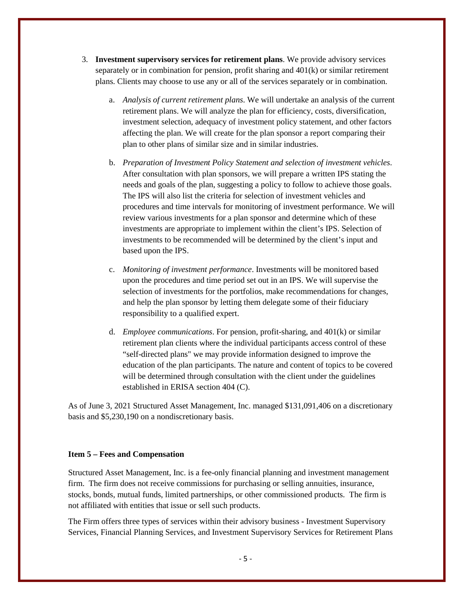- 3. **Investment supervisory services for retirement plans**. We provide advisory services separately or in combination for pension, profit sharing and 401(k) or similar retirement plans. Clients may choose to use any or all of the services separately or in combination.
	- a. *Analysis of current retirement plans*. We will undertake an analysis of the current retirement plans. We will analyze the plan for efficiency, costs, diversification, investment selection, adequacy of investment policy statement, and other factors affecting the plan. We will create for the plan sponsor a report comparing their plan to other plans of similar size and in similar industries.
	- b. *Preparation of Investment Policy Statement and selection of investment vehicles*. After consultation with plan sponsors, we will prepare a written IPS stating the needs and goals of the plan, suggesting a policy to follow to achieve those goals. The IPS will also list the criteria for selection of investment vehicles and procedures and time intervals for monitoring of investment performance. We will review various investments for a plan sponsor and determine which of these investments are appropriate to implement within the client's IPS. Selection of investments to be recommended will be determined by the client's input and based upon the IPS.
	- c. *Monitoring of investment performance*. Investments will be monitored based upon the procedures and time period set out in an IPS. We will supervise the selection of investments for the portfolios, make recommendations for changes, and help the plan sponsor by letting them delegate some of their fiduciary responsibility to a qualified expert.
	- d. *Employee communications*. For pension, profit-sharing, and 401(k) or similar retirement plan clients where the individual participants access control of these "self-directed plans" we may provide information designed to improve the education of the plan participants. The nature and content of topics to be covered will be determined through consultation with the client under the guidelines established in ERISA section 404 (C).

As of June 3, 2021 Structured Asset Management, Inc. managed \$131,091,406 on a discretionary basis and \$5,230,190 on a nondiscretionary basis.

## <span id="page-4-0"></span>**Item 5 – Fees and Compensation**

Structured Asset Management, Inc. is a fee-only financial planning and investment management firm. The firm does not receive commissions for purchasing or selling annuities, insurance, stocks, bonds, mutual funds, limited partnerships, or other commissioned products. The firm is not affiliated with entities that issue or sell such products.

The Firm offers three types of services within their advisory business - Investment Supervisory Services, Financial Planning Services, and Investment Supervisory Services for Retirement Plans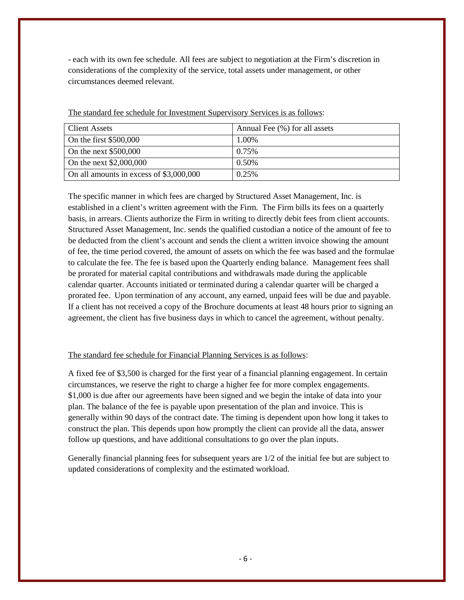- each with its own fee schedule. All fees are subject to negotiation at the Firm's discretion in considerations of the complexity of the service, total assets under management, or other circumstances deemed relevant.

| <b>Client Assets</b>                    | Annual Fee (%) for all assets |
|-----------------------------------------|-------------------------------|
| On the first \$500,000                  | 1.00%                         |
| On the next \$500,000                   | 0.75%                         |
| On the next \$2,000,000                 | 0.50%                         |
| On all amounts in excess of \$3,000,000 | 0.25%                         |

The standard fee schedule for Investment Supervisory Services is as follows:

The specific manner in which fees are charged by Structured Asset Management, Inc. is established in a client's written agreement with the Firm. The Firm bills its fees on a quarterly basis, in arrears. Clients authorize the Firm in writing to directly debit fees from client accounts. Structured Asset Management, Inc. sends the qualified custodian a notice of the amount of fee to be deducted from the client's account and sends the client a written invoice showing the amount of fee, the time period covered, the amount of assets on which the fee was based and the formulae to calculate the fee. The fee is based upon the Quarterly ending balance. Management fees shall be prorated for material capital contributions and withdrawals made during the applicable calendar quarter. Accounts initiated or terminated during a calendar quarter will be charged a prorated fee. Upon termination of any account, any earned, unpaid fees will be due and payable. If a client has not received a copy of the Brochure documents at least 48 hours prior to signing an agreement, the client has five business days in which to cancel the agreement, without penalty.

# The standard fee schedule for Financial Planning Services is as follows:

A fixed fee of \$3,500 is charged for the first year of a financial planning engagement. In certain circumstances, we reserve the right to charge a higher fee for more complex engagements. \$1,000 is due after our agreements have been signed and we begin the intake of data into your plan. The balance of the fee is payable upon presentation of the plan and invoice. This is generally within 90 days of the contract date. The timing is dependent upon how long it takes to construct the plan. This depends upon how promptly the client can provide all the data, answer follow up questions, and have additional consultations to go over the plan inputs.

Generally financial planning fees for subsequent years are 1/2 of the initial fee but are subject to updated considerations of complexity and the estimated workload.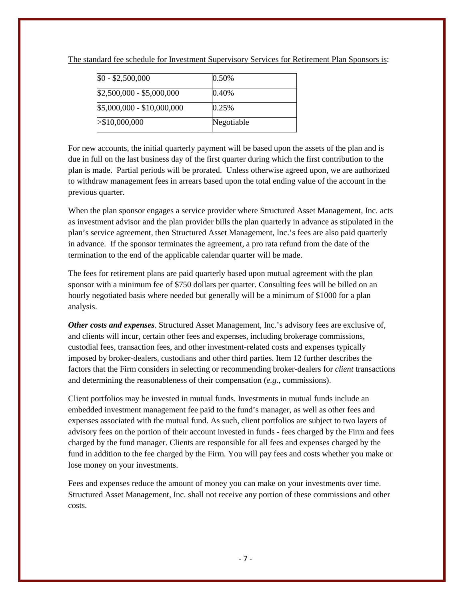| $$0 - $2,500,000$          | 0.50%      |
|----------------------------|------------|
| $$2,500,000 - $5,000,000$  | 0.40%      |
| $$5,000,000 - $10,000,000$ | 0.25%      |
| > \$10,000,000             | Negotiable |

The standard fee schedule for Investment Supervisory Services for Retirement Plan Sponsors is:

For new accounts, the initial quarterly payment will be based upon the assets of the plan and is due in full on the last business day of the first quarter during which the first contribution to the plan is made. Partial periods will be prorated. Unless otherwise agreed upon, we are authorized to withdraw management fees in arrears based upon the total ending value of the account in the previous quarter.

When the plan sponsor engages a service provider where Structured Asset Management, Inc. acts as investment advisor and the plan provider bills the plan quarterly in advance as stipulated in the plan's service agreement, then Structured Asset Management, Inc.'s fees are also paid quarterly in advance. If the sponsor terminates the agreement, a pro rata refund from the date of the termination to the end of the applicable calendar quarter will be made.

The fees for retirement plans are paid quarterly based upon mutual agreement with the plan sponsor with a minimum fee of \$750 dollars per quarter. Consulting fees will be billed on an hourly negotiated basis where needed but generally will be a minimum of \$1000 for a plan analysis.

*Other costs and expenses*. Structured Asset Management, Inc.'s advisory fees are exclusive of, and clients will incur, certain other fees and expenses, including brokerage commissions, custodial fees, transaction fees, and other investment-related costs and expenses typically imposed by broker-dealers, custodians and other third parties. Item 12 further describes the factors that the Firm considers in selecting or recommending broker-dealers for *client* transactions and determining the reasonableness of their compensation (*e.g.*, commissions).

Client portfolios may be invested in mutual funds. Investments in mutual funds include an embedded investment management fee paid to the fund's manager, as well as other fees and expenses associated with the mutual fund. As such, client portfolios are subject to two layers of advisory fees on the portion of their account invested in funds - fees charged by the Firm and fees charged by the fund manager. Clients are responsible for all fees and expenses charged by the fund in addition to the fee charged by the Firm. You will pay fees and costs whether you make or lose money on your investments.

Fees and expenses reduce the amount of money you can make on your investments over time. Structured Asset Management, Inc. shall not receive any portion of these commissions and other costs.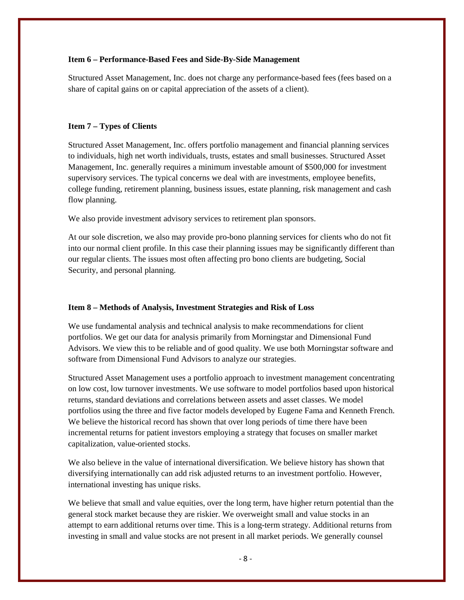#### <span id="page-7-0"></span>**Item 6 – Performance-Based Fees and Side-By-Side Management**

Structured Asset Management, Inc. does not charge any performance-based fees (fees based on a share of capital gains on or capital appreciation of the assets of a client).

#### <span id="page-7-1"></span>**Item 7 – Types of Clients**

Structured Asset Management, Inc. offers portfolio management and financial planning services to individuals, high net worth individuals, trusts, estates and small businesses. Structured Asset Management, Inc. generally requires a minimum investable amount of \$500,000 for investment supervisory services. The typical concerns we deal with are investments, employee benefits, college funding, retirement planning, business issues, estate planning, risk management and cash flow planning.

We also provide investment advisory services to retirement plan sponsors.

At our sole discretion, we also may provide pro-bono planning services for clients who do not fit into our normal client profile. In this case their planning issues may be significantly different than our regular clients. The issues most often affecting pro bono clients are budgeting, Social Security, and personal planning.

#### <span id="page-7-2"></span>**Item 8 – Methods of Analysis, Investment Strategies and Risk of Loss**

We use fundamental analysis and technical analysis to make recommendations for client portfolios. We get our data for analysis primarily from Morningstar and Dimensional Fund Advisors. We view this to be reliable and of good quality. We use both Morningstar software and software from Dimensional Fund Advisors to analyze our strategies.

Structured Asset Management uses a portfolio approach to investment management concentrating on low cost, low turnover investments. We use software to model portfolios based upon historical returns, standard deviations and correlations between assets and asset classes. We model portfolios using the three and five factor models developed by Eugene Fama and Kenneth French. We believe the historical record has shown that over long periods of time there have been incremental returns for patient investors employing a strategy that focuses on smaller market capitalization, value-oriented stocks.

We also believe in the value of international diversification. We believe history has shown that diversifying internationally can add risk adjusted returns to an investment portfolio. However, international investing has unique risks.

We believe that small and value equities, over the long term, have higher return potential than the general stock market because they are riskier. We overweight small and value stocks in an attempt to earn additional returns over time. This is a long-term strategy. Additional returns from investing in small and value stocks are not present in all market periods. We generally counsel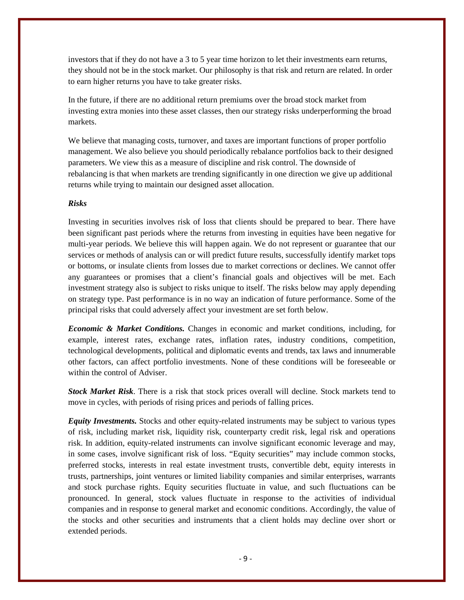investors that if they do not have a 3 to 5 year time horizon to let their investments earn returns, they should not be in the stock market. Our philosophy is that risk and return are related. In order to earn higher returns you have to take greater risks.

In the future, if there are no additional return premiums over the broad stock market from investing extra monies into these asset classes, then our strategy risks underperforming the broad markets.

We believe that managing costs, turnover, and taxes are important functions of proper portfolio management. We also believe you should periodically rebalance portfolios back to their designed parameters. We view this as a measure of discipline and risk control. The downside of rebalancing is that when markets are trending significantly in one direction we give up additional returns while trying to maintain our designed asset allocation.

## *Risks*

Investing in securities involves risk of loss that clients should be prepared to bear. There have been significant past periods where the returns from investing in equities have been negative for multi-year periods. We believe this will happen again. We do not represent or guarantee that our services or methods of analysis can or will predict future results, successfully identify market tops or bottoms, or insulate clients from losses due to market corrections or declines. We cannot offer any guarantees or promises that a client's financial goals and objectives will be met. Each investment strategy also is subject to risks unique to itself. The risks below may apply depending on strategy type. Past performance is in no way an indication of future performance. Some of the principal risks that could adversely affect your investment are set forth below.

*Economic & Market Conditions.* Changes in economic and market conditions, including, for example, interest rates, exchange rates, inflation rates, industry conditions, competition, technological developments, political and diplomatic events and trends, tax laws and innumerable other factors, can affect portfolio investments. None of these conditions will be foreseeable or within the control of Adviser.

*Stock Market Risk*. There is a risk that stock prices overall will decline. Stock markets tend to move in cycles, with periods of rising prices and periods of falling prices.

*Equity Investments.* Stocks and other equity-related instruments may be subject to various types of risk, including market risk, liquidity risk, counterparty credit risk, legal risk and operations risk. In addition, equity-related instruments can involve significant economic leverage and may, in some cases, involve significant risk of loss. "Equity securities" may include common stocks, preferred stocks, interests in real estate investment trusts, convertible debt, equity interests in trusts, partnerships, joint ventures or limited liability companies and similar enterprises, warrants and stock purchase rights. Equity securities fluctuate in value, and such fluctuations can be pronounced. In general, stock values fluctuate in response to the activities of individual companies and in response to general market and economic conditions. Accordingly, the value of the stocks and other securities and instruments that a client holds may decline over short or extended periods.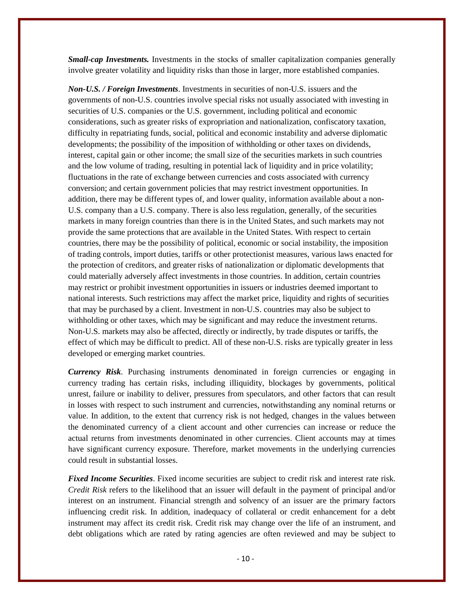*Small-cap Investments.* Investments in the stocks of smaller capitalization companies generally involve greater volatility and liquidity risks than those in larger, more established companies.

*Non-U.S. / Foreign Investments*. Investments in securities of non-U.S. issuers and the governments of non-U.S. countries involve special risks not usually associated with investing in securities of U.S. companies or the U.S. government, including political and economic considerations, such as greater risks of expropriation and nationalization, confiscatory taxation, difficulty in repatriating funds, social, political and economic instability and adverse diplomatic developments; the possibility of the imposition of withholding or other taxes on dividends, interest, capital gain or other income; the small size of the securities markets in such countries and the low volume of trading, resulting in potential lack of liquidity and in price volatility; fluctuations in the rate of exchange between currencies and costs associated with currency conversion; and certain government policies that may restrict investment opportunities. In addition, there may be different types of, and lower quality, information available about a non-U.S. company than a U.S. company. There is also less regulation, generally, of the securities markets in many foreign countries than there is in the United States, and such markets may not provide the same protections that are available in the United States. With respect to certain countries, there may be the possibility of political, economic or social instability, the imposition of trading controls, import duties, tariffs or other protectionist measures, various laws enacted for the protection of creditors, and greater risks of nationalization or diplomatic developments that could materially adversely affect investments in those countries. In addition, certain countries may restrict or prohibit investment opportunities in issuers or industries deemed important to national interests. Such restrictions may affect the market price, liquidity and rights of securities that may be purchased by a client. Investment in non-U.S. countries may also be subject to withholding or other taxes, which may be significant and may reduce the investment returns. Non-U.S. markets may also be affected, directly or indirectly, by trade disputes or tariffs, the effect of which may be difficult to predict. All of these non-U.S. risks are typically greater in less developed or emerging market countries.

*Currency Risk*. Purchasing instruments denominated in foreign currencies or engaging in currency trading has certain risks, including illiquidity, blockages by governments, political unrest, failure or inability to deliver, pressures from speculators, and other factors that can result in losses with respect to such instrument and currencies, notwithstanding any nominal returns or value. In addition, to the extent that currency risk is not hedged, changes in the values between the denominated currency of a client account and other currencies can increase or reduce the actual returns from investments denominated in other currencies. Client accounts may at times have significant currency exposure. Therefore, market movements in the underlying currencies could result in substantial losses.

*Fixed Income Securities*. Fixed income securities are subject to credit risk and interest rate risk. *Credit Risk* refers to the likelihood that an issuer will default in the payment of principal and/or interest on an instrument. Financial strength and solvency of an issuer are the primary factors influencing credit risk. In addition, inadequacy of collateral or credit enhancement for a debt instrument may affect its credit risk. Credit risk may change over the life of an instrument, and debt obligations which are rated by rating agencies are often reviewed and may be subject to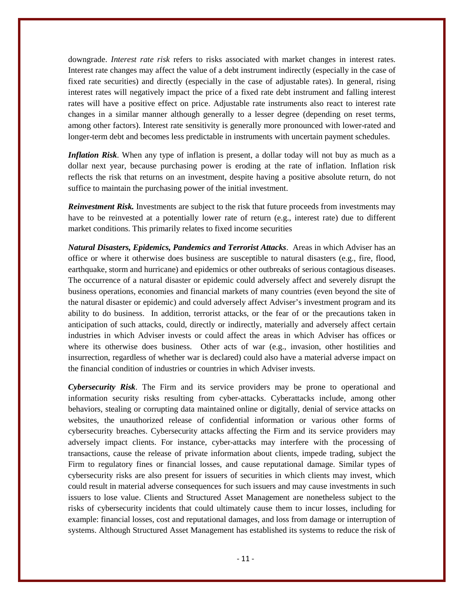downgrade. *Interest rate risk* refers to risks associated with market changes in interest rates. Interest rate changes may affect the value of a debt instrument indirectly (especially in the case of fixed rate securities) and directly (especially in the case of adjustable rates). In general, rising interest rates will negatively impact the price of a fixed rate debt instrument and falling interest rates will have a positive effect on price. Adjustable rate instruments also react to interest rate changes in a similar manner although generally to a lesser degree (depending on reset terms, among other factors). Interest rate sensitivity is generally more pronounced with lower-rated and longer-term debt and becomes less predictable in instruments with uncertain payment schedules.

*Inflation Risk*. When any type of inflation is present, a dollar today will not buy as much as a dollar next year, because purchasing power is eroding at the rate of inflation. Inflation risk reflects the risk that returns on an investment, despite having a positive absolute return, do not suffice to maintain the purchasing power of the initial investment.

*Reinvestment Risk.* Investments are subject to the risk that future proceeds from investments may have to be reinvested at a potentially lower rate of return (e.g., interest rate) due to different market conditions. This primarily relates to fixed income securities

*Natural Disasters, Epidemics, Pandemics and Terrorist Attacks*. Areas in which Adviser has an office or where it otherwise does business are susceptible to natural disasters (e.g., fire, flood, earthquake, storm and hurricane) and epidemics or other outbreaks of serious contagious diseases. The occurrence of a natural disaster or epidemic could adversely affect and severely disrupt the business operations, economies and financial markets of many countries (even beyond the site of the natural disaster or epidemic) and could adversely affect Adviser's investment program and its ability to do business. In addition, terrorist attacks, or the fear of or the precautions taken in anticipation of such attacks, could, directly or indirectly, materially and adversely affect certain industries in which Adviser invests or could affect the areas in which Adviser has offices or where its otherwise does business. Other acts of war (e.g., invasion, other hostilities and insurrection, regardless of whether war is declared) could also have a material adverse impact on the financial condition of industries or countries in which Adviser invests.

*Cybersecurity Risk*. The Firm and its service providers may be prone to operational and information security risks resulting from cyber-attacks. Cyberattacks include, among other behaviors, stealing or corrupting data maintained online or digitally, denial of service attacks on websites, the unauthorized release of confidential information or various other forms of cybersecurity breaches. Cybersecurity attacks affecting the Firm and its service providers may adversely impact clients. For instance, cyber-attacks may interfere with the processing of transactions, cause the release of private information about clients, impede trading, subject the Firm to regulatory fines or financial losses, and cause reputational damage. Similar types of cybersecurity risks are also present for issuers of securities in which clients may invest, which could result in material adverse consequences for such issuers and may cause investments in such issuers to lose value. Clients and Structured Asset Management are nonetheless subject to the risks of cybersecurity incidents that could ultimately cause them to incur losses, including for example: financial losses, cost and reputational damages, and loss from damage or interruption of systems. Although Structured Asset Management has established its systems to reduce the risk of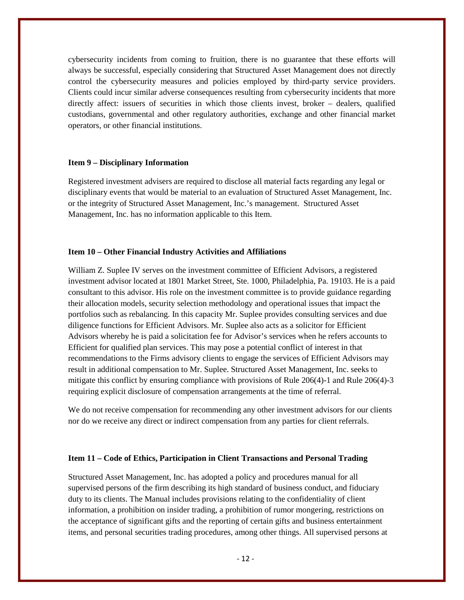cybersecurity incidents from coming to fruition, there is no guarantee that these efforts will always be successful, especially considering that Structured Asset Management does not directly control the cybersecurity measures and policies employed by third-party service providers. Clients could incur similar adverse consequences resulting from cybersecurity incidents that more directly affect: issuers of securities in which those clients invest, broker – dealers, qualified custodians, governmental and other regulatory authorities, exchange and other financial market operators, or other financial institutions.

#### <span id="page-11-0"></span>**Item 9 – Disciplinary Information**

Registered investment advisers are required to disclose all material facts regarding any legal or disciplinary events that would be material to an evaluation of Structured Asset Management, Inc. or the integrity of Structured Asset Management, Inc.'s management. Structured Asset Management, Inc. has no information applicable to this Item.

## <span id="page-11-1"></span>**Item 10 – Other Financial Industry Activities and Affiliations**

William Z. Suplee IV serves on the investment committee of Efficient Advisors, a registered investment advisor located at 1801 Market Street, Ste. 1000, Philadelphia, Pa. 19103. He is a paid consultant to this advisor. His role on the investment committee is to provide guidance regarding their allocation models, security selection methodology and operational issues that impact the portfolios such as rebalancing. In this capacity Mr. Suplee provides consulting services and due diligence functions for Efficient Advisors. Mr. Suplee also acts as a solicitor for Efficient Advisors whereby he is paid a solicitation fee for Advisor's services when he refers accounts to Efficient for qualified plan services. This may pose a potential conflict of interest in that recommendations to the Firms advisory clients to engage the services of Efficient Advisors may result in additional compensation to Mr. Suplee. Structured Asset Management, Inc. seeks to mitigate this conflict by ensuring compliance with provisions of Rule 206(4)-1 and Rule 206(4)-3 requiring explicit disclosure of compensation arrangements at the time of referral.

We do not receive compensation for recommending any other investment advisors for our clients nor do we receive any direct or indirect compensation from any parties for client referrals.

## <span id="page-11-2"></span>**Item 11 – Code of Ethics, Participation in Client Transactions and Personal Trading**

Structured Asset Management, Inc. has adopted a policy and procedures manual for all supervised persons of the firm describing its high standard of business conduct, and fiduciary duty to its clients. The Manual includes provisions relating to the confidentiality of client information, a prohibition on insider trading, a prohibition of rumor mongering, restrictions on the acceptance of significant gifts and the reporting of certain gifts and business entertainment items, and personal securities trading procedures, among other things. All supervised persons at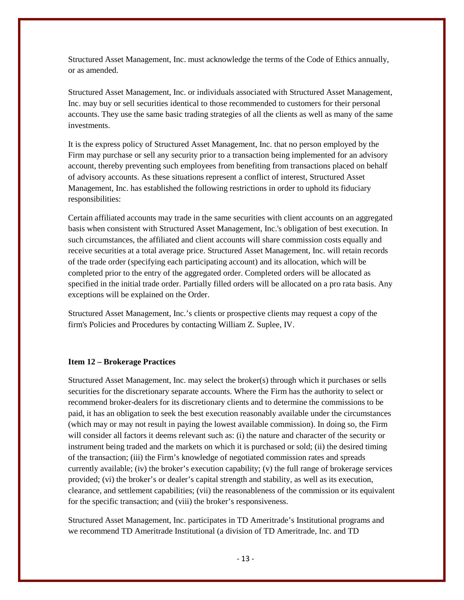Structured Asset Management, Inc. must acknowledge the terms of the Code of Ethics annually, or as amended.

Structured Asset Management, Inc. or individuals associated with Structured Asset Management, Inc. may buy or sell securities identical to those recommended to customers for their personal accounts. They use the same basic trading strategies of all the clients as well as many of the same investments.

It is the express policy of Structured Asset Management, Inc. that no person employed by the Firm may purchase or sell any security prior to a transaction being implemented for an advisory account, thereby preventing such employees from benefiting from transactions placed on behalf of advisory accounts. As these situations represent a conflict of interest, Structured Asset Management, Inc. has established the following restrictions in order to uphold its fiduciary responsibilities:

Certain affiliated accounts may trade in the same securities with client accounts on an aggregated basis when consistent with Structured Asset Management, Inc.'s obligation of best execution. In such circumstances, the affiliated and client accounts will share commission costs equally and receive securities at a total average price. Structured Asset Management, Inc. will retain records of the trade order (specifying each participating account) and its allocation, which will be completed prior to the entry of the aggregated order. Completed orders will be allocated as specified in the initial trade order. Partially filled orders will be allocated on a pro rata basis. Any exceptions will be explained on the Order.

Structured Asset Management, Inc.'s clients or prospective clients may request a copy of the firm's Policies and Procedures by contacting William Z. Suplee, IV.

## <span id="page-12-0"></span>**Item 12 – Brokerage Practices**

Structured Asset Management, Inc. may select the broker(s) through which it purchases or sells securities for the discretionary separate accounts. Where the Firm has the authority to select or recommend broker-dealers for its discretionary clients and to determine the commissions to be paid, it has an obligation to seek the best execution reasonably available under the circumstances (which may or may not result in paying the lowest available commission). In doing so, the Firm will consider all factors it deems relevant such as: (i) the nature and character of the security or instrument being traded and the markets on which it is purchased or sold; (ii) the desired timing of the transaction; (iii) the Firm's knowledge of negotiated commission rates and spreads currently available; (iv) the broker's execution capability; (v) the full range of brokerage services provided; (vi) the broker's or dealer's capital strength and stability, as well as its execution, clearance, and settlement capabilities; (vii) the reasonableness of the commission or its equivalent for the specific transaction; and (viii) the broker's responsiveness.

Structured Asset Management, Inc. participates in TD Ameritrade's Institutional programs and we recommend TD Ameritrade Institutional (a division of TD Ameritrade, Inc. and TD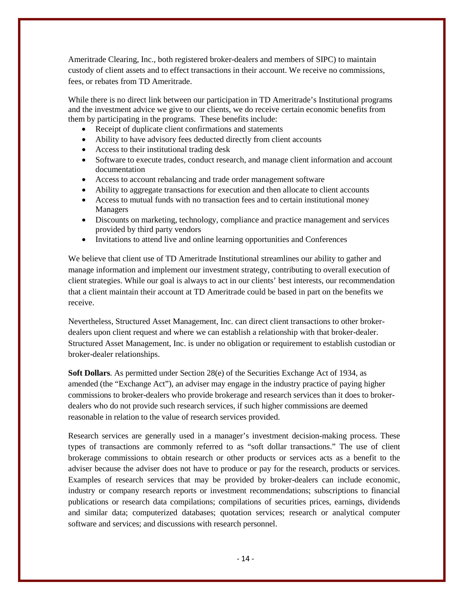Ameritrade Clearing, Inc., both registered broker-dealers and members of SIPC) to maintain custody of client assets and to effect transactions in their account. We receive no commissions, fees, or rebates from TD Ameritrade.

While there is no direct link between our participation in TD Ameritrade's Institutional programs and the investment advice we give to our clients, we do receive certain economic benefits from them by participating in the programs. These benefits include:

- Receipt of duplicate client confirmations and statements
- Ability to have advisory fees deducted directly from client accounts
- Access to their institutional trading desk
- Software to execute trades, conduct research, and manage client information and account documentation
- Access to account rebalancing and trade order management software
- Ability to aggregate transactions for execution and then allocate to client accounts
- Access to mutual funds with no transaction fees and to certain institutional money Managers
- Discounts on marketing, technology, compliance and practice management and services provided by third party vendors
- Invitations to attend live and online learning opportunities and Conferences

We believe that client use of TD Ameritrade Institutional streamlines our ability to gather and manage information and implement our investment strategy, contributing to overall execution of client strategies. While our goal is always to act in our clients' best interests, our recommendation that a client maintain their account at TD Ameritrade could be based in part on the benefits we receive.

Nevertheless, Structured Asset Management, Inc. can direct client transactions to other brokerdealers upon client request and where we can establish a relationship with that broker-dealer. Structured Asset Management, Inc. is under no obligation or requirement to establish custodian or broker-dealer relationships.

**Soft Dollars**. As permitted under Section 28(e) of the Securities Exchange Act of 1934, as amended (the "Exchange Act"), an adviser may engage in the industry practice of paying higher commissions to broker-dealers who provide brokerage and research services than it does to brokerdealers who do not provide such research services, if such higher commissions are deemed reasonable in relation to the value of research services provided.

Research services are generally used in a manager's investment decision-making process. These types of transactions are commonly referred to as "soft dollar transactions." The use of client brokerage commissions to obtain research or other products or services acts as a benefit to the adviser because the adviser does not have to produce or pay for the research, products or services. Examples of research services that may be provided by broker-dealers can include economic, industry or company research reports or investment recommendations; subscriptions to financial publications or research data compilations; compilations of securities prices, earnings, dividends and similar data; computerized databases; quotation services; research or analytical computer software and services; and discussions with research personnel.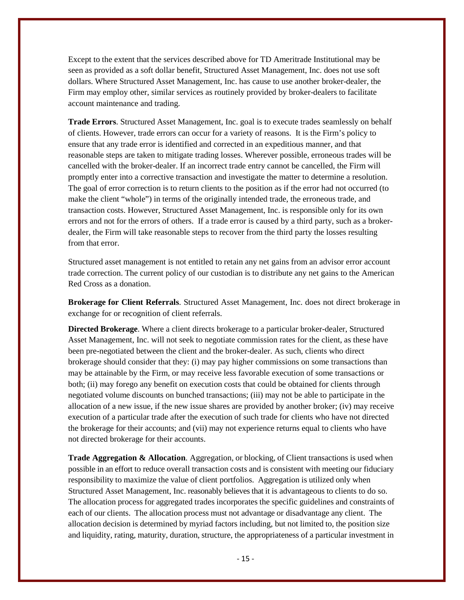Except to the extent that the services described above for TD Ameritrade Institutional may be seen as provided as a soft dollar benefit, Structured Asset Management, Inc. does not use soft dollars. Where Structured Asset Management, Inc. has cause to use another broker-dealer, the Firm may employ other, similar services as routinely provided by broker-dealers to facilitate account maintenance and trading.

**Trade Errors**. Structured Asset Management, Inc. goal is to execute trades seamlessly on behalf of clients. However, trade errors can occur for a variety of reasons. It is the Firm's policy to ensure that any trade error is identified and corrected in an expeditious manner, and that reasonable steps are taken to mitigate trading losses. Wherever possible, erroneous trades will be cancelled with the broker-dealer. If an incorrect trade entry cannot be cancelled, the Firm will promptly enter into a corrective transaction and investigate the matter to determine a resolution. The goal of error correction is to return clients to the position as if the error had not occurred (to make the client "whole") in terms of the originally intended trade, the erroneous trade, and transaction costs. However, Structured Asset Management, Inc. is responsible only for its own errors and not for the errors of others. If a trade error is caused by a third party, such as a brokerdealer, the Firm will take reasonable steps to recover from the third party the losses resulting from that error.

Structured asset management is not entitled to retain any net gains from an advisor error account trade correction. The current policy of our custodian is to distribute any net gains to the American Red Cross as a donation.

**Brokerage for Client Referrals**. Structured Asset Management, Inc. does not direct brokerage in exchange for or recognition of client referrals.

**Directed Brokerage**. Where a client directs brokerage to a particular broker-dealer, Structured Asset Management, Inc. will not seek to negotiate commission rates for the client, as these have been pre-negotiated between the client and the broker-dealer. As such, clients who direct brokerage should consider that they: (i) may pay higher commissions on some transactions than may be attainable by the Firm, or may receive less favorable execution of some transactions or both; (ii) may forego any benefit on execution costs that could be obtained for clients through negotiated volume discounts on bunched transactions; (iii) may not be able to participate in the allocation of a new issue, if the new issue shares are provided by another broker; (iv) may receive execution of a particular trade after the execution of such trade for clients who have not directed the brokerage for their accounts; and (vii) may not experience returns equal to clients who have not directed brokerage for their accounts.

**Trade Aggregation & Allocation**. Aggregation, or blocking, of Client transactions is used when possible in an effort to reduce overall transaction costs and is consistent with meeting our fiduciary responsibility to maximize the value of client portfolios. Aggregation is utilized only when Structured Asset Management, Inc. reasonably believes that it is advantageous to clients to do so. The allocation process for aggregated trades incorporates the specific guidelines and constraints of each of our clients. The allocation process must not advantage or disadvantage any client. The allocation decision is determined by myriad factors including, but not limited to, the position size and liquidity, rating, maturity, duration, structure, the appropriateness of a particular investment in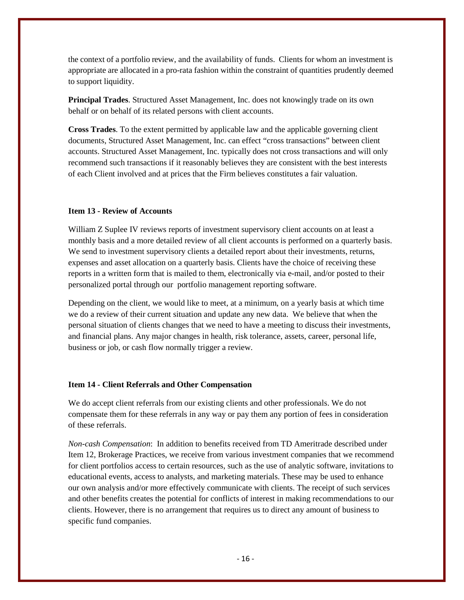the context of a portfolio review, and the availability of funds. Clients for whom an investment is appropriate are allocated in a pro-rata fashion within the constraint of quantities prudently deemed to support liquidity.

**Principal Trades**. Structured Asset Management, Inc. does not knowingly trade on its own behalf or on behalf of its related persons with client accounts.

**Cross Trades**. To the extent permitted by applicable law and the applicable governing client documents, Structured Asset Management, Inc. can effect "cross transactions" between client accounts. Structured Asset Management, Inc. typically does not cross transactions and will only recommend such transactions if it reasonably believes they are consistent with the best interests of each Client involved and at prices that the Firm believes constitutes a fair valuation.

## <span id="page-15-0"></span>**Item 13 - Review of Accounts**

William Z Suplee IV reviews reports of investment supervisory client accounts on at least a monthly basis and a more detailed review of all client accounts is performed on a quarterly basis. We send to investment supervisory clients a detailed report about their investments, returns, expenses and asset allocation on a quarterly basis. Clients have the choice of receiving these reports in a written form that is mailed to them, electronically via e-mail, and/or posted to their personalized portal through our portfolio management reporting software.

Depending on the client, we would like to meet, at a minimum, on a yearly basis at which time we do a review of their current situation and update any new data. We believe that when the personal situation of clients changes that we need to have a meeting to discuss their investments, and financial plans. Any major changes in health, risk tolerance, assets, career, personal life, business or job, or cash flow normally trigger a review.

#### <span id="page-15-1"></span>**Item 14 - Client Referrals and Other Compensation**

We do accept client referrals from our existing clients and other professionals. We do not compensate them for these referrals in any way or pay them any portion of fees in consideration of these referrals.

<span id="page-15-2"></span>*Non-cash Compensation*: In addition to benefits received from TD Ameritrade described under Item 12, Brokerage Practices, we receive from various investment companies that we recommend for client portfolios access to certain resources, such as the use of analytic software, invitations to educational events, access to analysts, and marketing materials. These may be used to enhance our own analysis and/or more effectively communicate with clients. The receipt of such services and other benefits creates the potential for conflicts of interest in making recommendations to our clients. However, there is no arrangement that requires us to direct any amount of business to specific fund companies.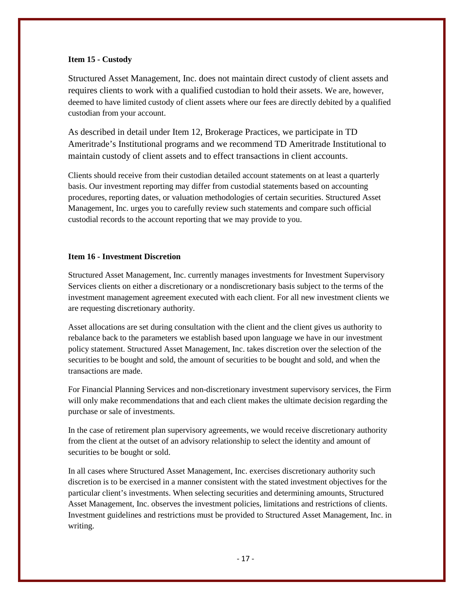## **Item 15 - Custody**

Structured Asset Management, Inc. does not maintain direct custody of client assets and requires clients to work with a qualified custodian to hold their assets. We are, however, deemed to have limited custody of client assets where our fees are directly debited by a qualified custodian from your account.

As described in detail under Item 12, Brokerage Practices, we participate in TD Ameritrade's Institutional programs and we recommend TD Ameritrade Institutional to maintain custody of client assets and to effect transactions in client accounts.

Clients should receive from their custodian detailed account statements on at least a quarterly basis. Our investment reporting may differ from custodial statements based on accounting procedures, reporting dates, or valuation methodologies of certain securities. Structured Asset Management, Inc. urges you to carefully review such statements and compare such official custodial records to the account reporting that we may provide to you.

# <span id="page-16-0"></span>**Item 16 - Investment Discretion**

Structured Asset Management, Inc. currently manages investments for Investment Supervisory Services clients on either a discretionary or a nondiscretionary basis subject to the terms of the investment management agreement executed with each client. For all new investment clients we are requesting discretionary authority.

Asset allocations are set during consultation with the client and the client gives us authority to rebalance back to the parameters we establish based upon language we have in our investment policy statement. Structured Asset Management, Inc. takes discretion over the selection of the securities to be bought and sold, the amount of securities to be bought and sold, and when the transactions are made.

For Financial Planning Services and non-discretionary investment supervisory services, the Firm will only make recommendations that and each client makes the ultimate decision regarding the purchase or sale of investments.

In the case of retirement plan supervisory agreements, we would receive discretionary authority from the client at the outset of an advisory relationship to select the identity and amount of securities to be bought or sold.

In all cases where Structured Asset Management, Inc. exercises discretionary authority such discretion is to be exercised in a manner consistent with the stated investment objectives for the particular client's investments. When selecting securities and determining amounts, Structured Asset Management, Inc. observes the investment policies, limitations and restrictions of clients. Investment guidelines and restrictions must be provided to Structured Asset Management, Inc. in writing.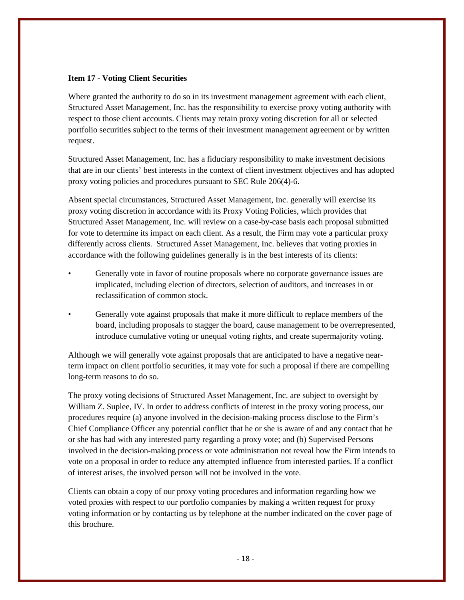## <span id="page-17-0"></span>**Item 17 - Voting Client Securities**

Where granted the authority to do so in its investment management agreement with each client, Structured Asset Management, Inc. has the responsibility to exercise proxy voting authority with respect to those client accounts. Clients may retain proxy voting discretion for all or selected portfolio securities subject to the terms of their investment management agreement or by written request.

Structured Asset Management, Inc. has a fiduciary responsibility to make investment decisions that are in our clients' best interests in the context of client investment objectives and has adopted proxy voting policies and procedures pursuant to SEC Rule 206(4)-6.

Absent special circumstances, Structured Asset Management, Inc. generally will exercise its proxy voting discretion in accordance with its Proxy Voting Policies, which provides that Structured Asset Management, Inc. will review on a case-by-case basis each proposal submitted for vote to determine its impact on each client. As a result, the Firm may vote a particular proxy differently across clients. Structured Asset Management, Inc. believes that voting proxies in accordance with the following guidelines generally is in the best interests of its clients:

- Generally vote in favor of routine proposals where no corporate governance issues are implicated, including election of directors, selection of auditors, and increases in or reclassification of common stock.
- Generally vote against proposals that make it more difficult to replace members of the board, including proposals to stagger the board, cause management to be overrepresented, introduce cumulative voting or unequal voting rights, and create supermajority voting.

Although we will generally vote against proposals that are anticipated to have a negative nearterm impact on client portfolio securities, it may vote for such a proposal if there are compelling long-term reasons to do so.

The proxy voting decisions of Structured Asset Management, Inc. are subject to oversight by William Z. Suplee, IV. In order to address conflicts of interest in the proxy voting process, our procedures require (a) anyone involved in the decision-making process disclose to the Firm's Chief Compliance Officer any potential conflict that he or she is aware of and any contact that he or she has had with any interested party regarding a proxy vote; and (b) Supervised Persons involved in the decision-making process or vote administration not reveal how the Firm intends to vote on a proposal in order to reduce any attempted influence from interested parties. If a conflict of interest arises, the involved person will not be involved in the vote.

Clients can obtain a copy of our proxy voting procedures and information regarding how we voted proxies with respect to our portfolio companies by making a written request for proxy voting information or by contacting us by telephone at the number indicated on the cover page of this brochure.